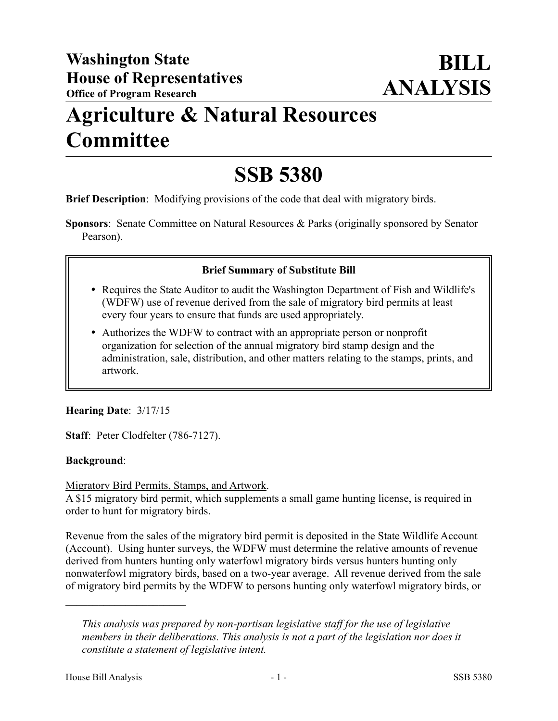## **Agriculture & Natural Resources Committee**

# **SSB 5380**

**Brief Description**: Modifying provisions of the code that deal with migratory birds.

**Sponsors**: Senate Committee on Natural Resources & Parks (originally sponsored by Senator Pearson).

## **Brief Summary of Substitute Bill**

- Requires the State Auditor to audit the Washington Department of Fish and Wildlife's (WDFW) use of revenue derived from the sale of migratory bird permits at least every four years to ensure that funds are used appropriately.
- Authorizes the WDFW to contract with an appropriate person or nonprofit organization for selection of the annual migratory bird stamp design and the administration, sale, distribution, and other matters relating to the stamps, prints, and artwork.

## **Hearing Date**: 3/17/15

**Staff**: Peter Clodfelter (786-7127).

#### **Background**:

#### Migratory Bird Permits, Stamps, and Artwork.

A \$15 migratory bird permit, which supplements a small game hunting license, is required in order to hunt for migratory birds.

Revenue from the sales of the migratory bird permit is deposited in the State Wildlife Account (Account). Using hunter surveys, the WDFW must determine the relative amounts of revenue derived from hunters hunting only waterfowl migratory birds versus hunters hunting only nonwaterfowl migratory birds, based on a two-year average. All revenue derived from the sale of migratory bird permits by the WDFW to persons hunting only waterfowl migratory birds, or

––––––––––––––––––––––

*This analysis was prepared by non-partisan legislative staff for the use of legislative members in their deliberations. This analysis is not a part of the legislation nor does it constitute a statement of legislative intent.*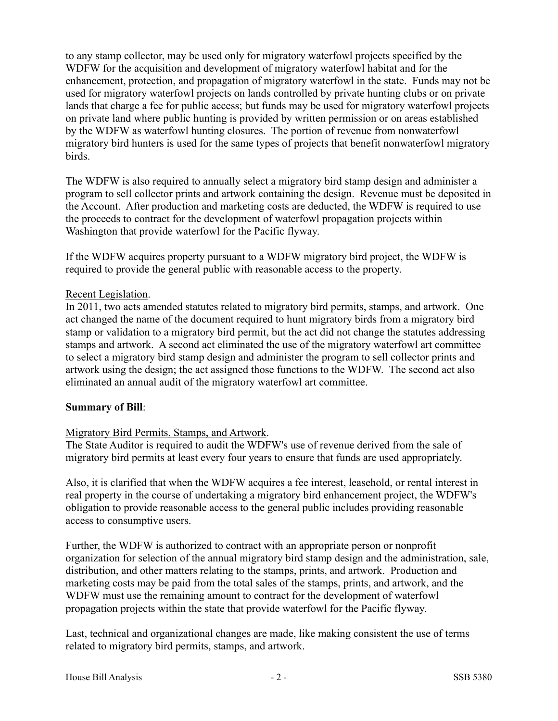to any stamp collector, may be used only for migratory waterfowl projects specified by the WDFW for the acquisition and development of migratory waterfowl habitat and for the enhancement, protection, and propagation of migratory waterfowl in the state. Funds may not be used for migratory waterfowl projects on lands controlled by private hunting clubs or on private lands that charge a fee for public access; but funds may be used for migratory waterfowl projects on private land where public hunting is provided by written permission or on areas established by the WDFW as waterfowl hunting closures. The portion of revenue from nonwaterfowl migratory bird hunters is used for the same types of projects that benefit nonwaterfowl migratory birds.

The WDFW is also required to annually select a migratory bird stamp design and administer a program to sell collector prints and artwork containing the design. Revenue must be deposited in the Account. After production and marketing costs are deducted, the WDFW is required to use the proceeds to contract for the development of waterfowl propagation projects within Washington that provide waterfowl for the Pacific flyway.

If the WDFW acquires property pursuant to a WDFW migratory bird project, the WDFW is required to provide the general public with reasonable access to the property.

## Recent Legislation.

In 2011, two acts amended statutes related to migratory bird permits, stamps, and artwork. One act changed the name of the document required to hunt migratory birds from a migratory bird stamp or validation to a migratory bird permit, but the act did not change the statutes addressing stamps and artwork. A second act eliminated the use of the migratory waterfowl art committee to select a migratory bird stamp design and administer the program to sell collector prints and artwork using the design; the act assigned those functions to the WDFW. The second act also eliminated an annual audit of the migratory waterfowl art committee.

#### **Summary of Bill**:

## Migratory Bird Permits, Stamps, and Artwork.

The State Auditor is required to audit the WDFW's use of revenue derived from the sale of migratory bird permits at least every four years to ensure that funds are used appropriately.

Also, it is clarified that when the WDFW acquires a fee interest, leasehold, or rental interest in real property in the course of undertaking a migratory bird enhancement project, the WDFW's obligation to provide reasonable access to the general public includes providing reasonable access to consumptive users.

Further, the WDFW is authorized to contract with an appropriate person or nonprofit organization for selection of the annual migratory bird stamp design and the administration, sale, distribution, and other matters relating to the stamps, prints, and artwork. Production and marketing costs may be paid from the total sales of the stamps, prints, and artwork, and the WDFW must use the remaining amount to contract for the development of waterfowl propagation projects within the state that provide waterfowl for the Pacific flyway.

Last, technical and organizational changes are made, like making consistent the use of terms related to migratory bird permits, stamps, and artwork.